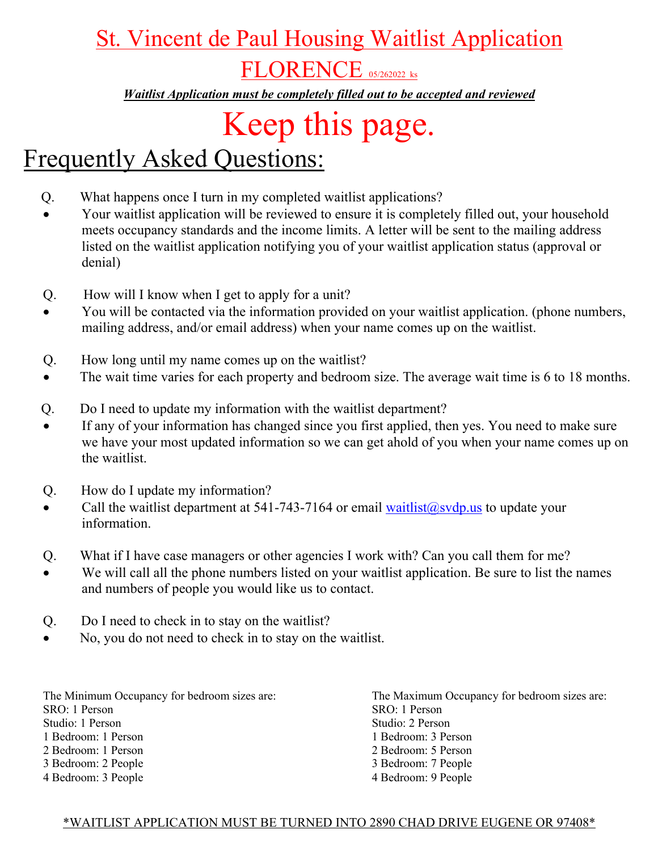*Waitlist Application must be completely filled out to be accepted and reviewed* 

## Keep this page.

## Frequently Asked Questions:

- Q. What happens once I turn in my completed waitlist applications?
- Your waitlist application will be reviewed to ensure it is completely filled out, your household meets occupancy standards and the income limits. A letter will be sent to the mailing address listed on the waitlist application notifying you of your waitlist application status (approval or denial)
- Q. How will I know when I get to apply for a unit?
- You will be contacted via the information provided on your waitlist application. (phone numbers, mailing address, and/or email address) when your name comes up on the waitlist.
- Q. How long until my name comes up on the waitlist?
- The wait time varies for each property and bedroom size. The average wait time is 6 to 18 months.
- Q. Do I need to update my information with the waitlist department?
- If any of your information has changed since you first applied, then yes. You need to make sure we have your most updated information so we can get ahold of you when your name comes up on the waitlist.
- Q. How do I update my information?
- Call the waitlist department at 541-743-7164 or email waitlist@svdp.us to update your information.
- Q. What if I have case managers or other agencies I work with? Can you call them for me?
- We will call all the phone numbers listed on your waitlist application. Be sure to list the names and numbers of people you would like us to contact.
- Q. Do I need to check in to stay on the waitlist?
- No, you do not need to check in to stay on the waitlist.

SRO: 1 Person SRO: 1 Person SRO: 1 Person SRO: 1 Person SRO: 1 Person SRO: 1 Person SRO: 1 Person SRO Studio: 1 Person Studio: 2 Person Studio: 2 Person 1 Bedroom: 1 Person 1 Bedroom: 3 Person 2 Bedroom: 1 Person 2 Bedroom: 5 Person 3 Bedroom: 2 People 3 Bedroom: 7 People 4 Bedroom: 3 People 4 Bedroom: 9 People

The Minimum Occupancy for bedroom sizes are: The Maximum Occupancy for bedroom sizes are:

#### \*WAITLIST APPLICATION MUST BE TURNED INTO 2890 CHAD DRIVE EUGENE OR 97408\*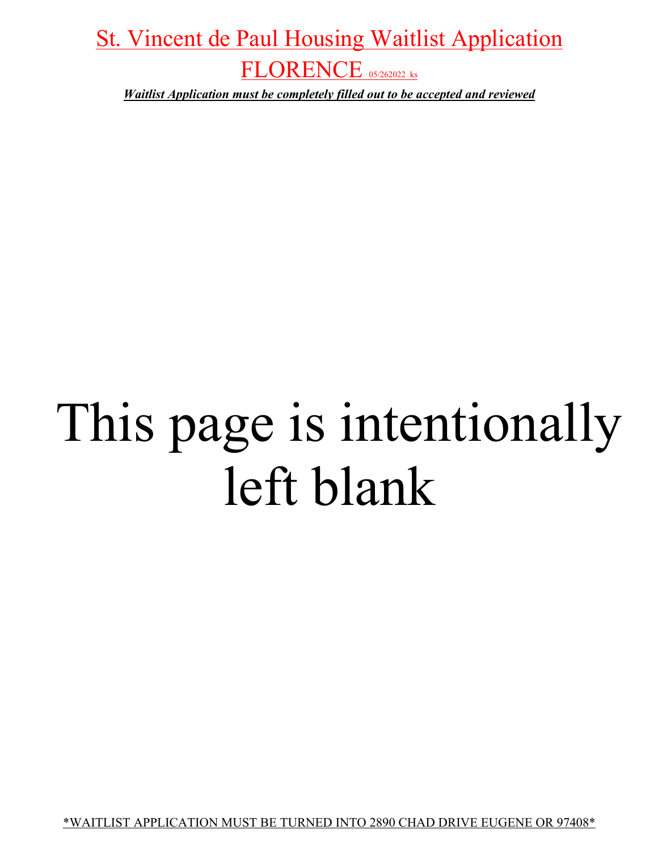*Waitlist Application must be completely filled out to be accepted and reviewed* 

# This page is intentionally left blank

\*WAITLIST APPLICATION MUST BE TURNED INTO 2890 CHAD DRIVE EUGENE OR 97408\*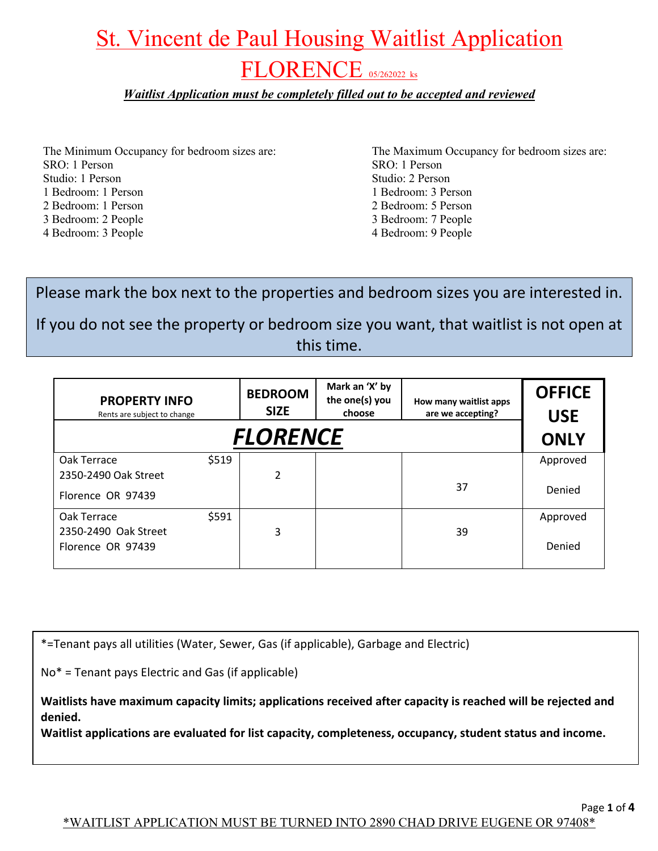#### *Waitlist Application must be completely filled out to be accepted and reviewed*

The Minimum Occupancy for bedroom sizes are: The Maximum Occupancy for bedroom sizes are: SRO: 1 Person SRO: 1 Person SRO: 1 Person SRO: 1 Person SRO: 1 Person SRO: 1 Person SRO: 1 Person SRO: 1 Person SRO: 1 Person SRO: 1 Person SRO: 1 Person SRO: 1 Person SRO: 1 Person SRO: 1 Person SRO: 1 Person SRO: 1 Perso Studio: 1 Person Studio: 2 Person 1 Bedroom: 1 Person 1 Bedroom: 3 Person 2 Bedroom: 1 Person 2 Bedroom: 5 Person 3 Bedroom: 2 People 3 Bedroom: 7 People 4 Bedroom: 3 People 4 Bedroom: 9 People

Please mark the box next to the properties and bedroom sizes you are interested in. If you do not see the property or bedroom size you want, that waitlist is not open at this time.

| <b>PROPERTY INFO</b><br>Rents are subject to change               | <b>BEDROOM</b><br><b>SIZE</b> | Mark an 'X' by<br>the one(s) you<br>choose | How many waitlist apps<br>are we accepting? | <b>OFFICE</b><br><b>USE</b> |
|-------------------------------------------------------------------|-------------------------------|--------------------------------------------|---------------------------------------------|-----------------------------|
|                                                                   | <b>FLORENCE</b>               |                                            |                                             | <b>ONLY</b>                 |
| \$519<br>Oak Terrace<br>2350-2490 Oak Street<br>Florence OR 97439 | $\overline{\mathcal{L}}$      |                                            | 37                                          | Approved<br>Denied          |
| \$591<br>Oak Terrace<br>2350-2490 Oak Street<br>Florence OR 97439 | 3                             |                                            | 39                                          | Approved<br>Denied          |

\*=Tenant pays all utilities (Water, Sewer, Gas (if applicable), Garbage and Electric)

No\* = Tenant pays Electric and Gas (if applicable)

**Waitlists have maximum capacity limits; applications received after capacity is reached will be rejected and denied.** 

**Waitlist applications are evaluated for list capacity, completeness, occupancy, student status and income.**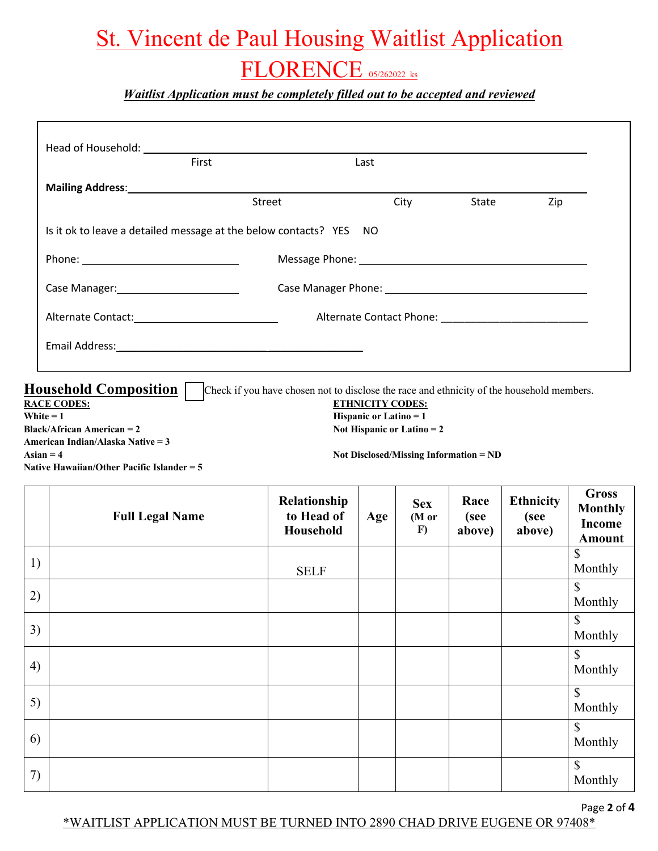#### *Waitlist Application must be completely filled out to be accepted and reviewed*

|    |                                                                                                                                                                         | First |                                         | Last                                                |                                 |                                        |                                    |                                                                  |
|----|-------------------------------------------------------------------------------------------------------------------------------------------------------------------------|-------|-----------------------------------------|-----------------------------------------------------|---------------------------------|----------------------------------------|------------------------------------|------------------------------------------------------------------|
|    | Mailing Address: Mailing Address: Mailing Address: Mail 1997                                                                                                            |       |                                         |                                                     |                                 |                                        |                                    |                                                                  |
|    |                                                                                                                                                                         |       | Street                                  |                                                     | City                            | State                                  | Zip                                |                                                                  |
|    | Is it ok to leave a detailed message at the below contacts? YES NO                                                                                                      |       |                                         |                                                     |                                 |                                        |                                    |                                                                  |
|    |                                                                                                                                                                         |       |                                         |                                                     |                                 |                                        |                                    |                                                                  |
|    | Case Manager:<br><u>Lase Manager:</u>                                                                                                                                   |       |                                         |                                                     |                                 |                                        |                                    |                                                                  |
|    |                                                                                                                                                                         |       |                                         |                                                     |                                 |                                        |                                    |                                                                  |
|    |                                                                                                                                                                         |       |                                         |                                                     |                                 |                                        |                                    |                                                                  |
|    | <b>RACE CODES:</b><br>White $= 1$<br><b>Black/African American = 2</b><br>American Indian/Alaska Native = 3<br>Asian $=4$<br>Native Hawaiian/Other Pacific Islander = 5 |       |                                         | <b>ETHNICITY CODES:</b><br>Hispanic or Latino $= 1$ | Not Hispanic or Latino $= 2$    | Not Disclosed/Missing Information = ND |                                    |                                                                  |
|    | <b>Full Legal Name</b>                                                                                                                                                  |       | Relationship<br>to Head of<br>Household | Age                                                 | <b>Sex</b><br>(M or<br>$\bf{F}$ | Race<br>(see<br>above)                 | <b>Ethnicity</b><br>(see<br>above) | <b>Gross</b><br><b>Monthly</b><br><b>Income</b><br><b>Amount</b> |
| 1) |                                                                                                                                                                         |       | <b>SELF</b>                             |                                                     |                                 |                                        |                                    | \$<br>Monthly                                                    |
| 2) |                                                                                                                                                                         |       |                                         |                                                     |                                 |                                        |                                    | $\mathbb{S}$<br>Monthly                                          |
| 3) |                                                                                                                                                                         |       |                                         |                                                     |                                 |                                        |                                    | \$<br>Monthly                                                    |
| 4) |                                                                                                                                                                         |       |                                         |                                                     |                                 |                                        |                                    | $\mathbb{S}$<br>Monthly                                          |
| 5) |                                                                                                                                                                         |       |                                         |                                                     |                                 |                                        |                                    | \$<br>Monthly                                                    |
| 6) |                                                                                                                                                                         |       |                                         |                                                     |                                 |                                        |                                    | \$<br>Monthly                                                    |
| 7) |                                                                                                                                                                         |       |                                         |                                                     |                                 |                                        |                                    | \$<br>Monthly                                                    |

\*WAITLIST APPLICATION MUST BE TURNED INTO 2890 CHAD DRIVE EUGENE OR 97408\*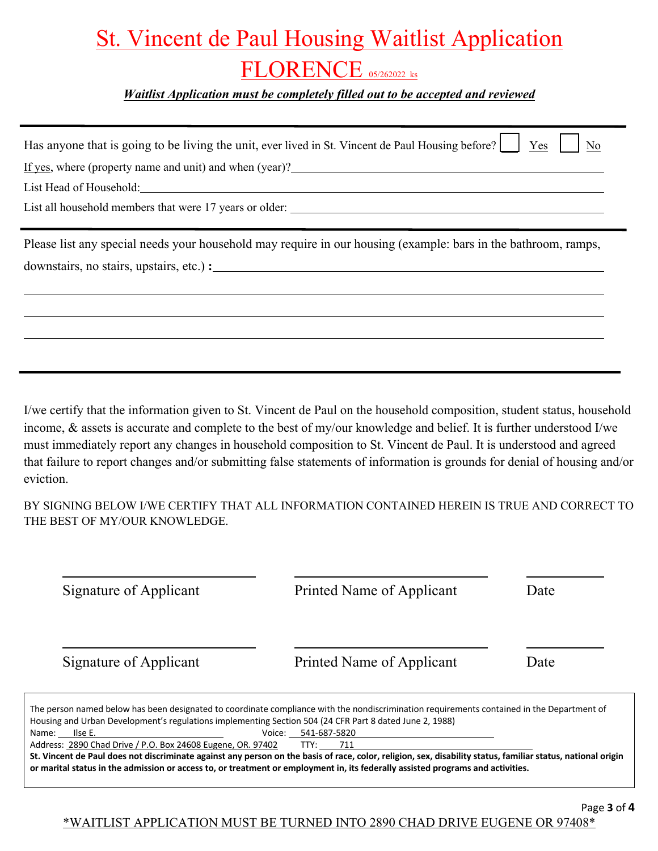#### *Waitlist Application must be completely filled out to be accepted and reviewed*

| Has anyone that is going to be living the unit, ever lived in St. Vincent de Paul Housing before? $\Box$ Yes<br>No                                                                                                                     |
|----------------------------------------------------------------------------------------------------------------------------------------------------------------------------------------------------------------------------------------|
| If yes, where (property name and unit) and when (year)?<br><u>Letting and the contract of the set of the set of the set of the set of the set of the set of the set of the set of the set of the set of the set of the set of the </u> |
| List Head of Household: North American Section 2014                                                                                                                                                                                    |
|                                                                                                                                                                                                                                        |
| Please list any special needs your household may require in our housing (example: bars in the bathroom, ramps,                                                                                                                         |
|                                                                                                                                                                                                                                        |
|                                                                                                                                                                                                                                        |

I/we certify that the information given to St. Vincent de Paul on the household composition, student status, household income, & assets is accurate and complete to the best of my/our knowledge and belief. It is further understood I/we must immediately report any changes in household composition to St. Vincent de Paul. It is understood and agreed that failure to report changes and/or submitting false statements of information is grounds for denial of housing and/or eviction.

BY SIGNING BELOW I/WE CERTIFY THAT ALL INFORMATION CONTAINED HEREIN IS TRUE AND CORRECT TO THE BEST OF MY/OUR KNOWLEDGE.

| Signature of Applicant                                      | Printed Name of Applicant                                                                                                                                                                                                                                                    | Date |
|-------------------------------------------------------------|------------------------------------------------------------------------------------------------------------------------------------------------------------------------------------------------------------------------------------------------------------------------------|------|
| Name: Ilse E.                                               | The person named below has been designated to coordinate compliance with the nondiscrimination requirements contained in the Department of<br>Housing and Urban Development's regulations implementing Section 504 (24 CFR Part 8 dated June 2, 1988)<br>Voice: 541-687-5820 |      |
| Address: 2890 Chad Drive / P.O. Box 24608 Eugene, OR. 97402 | TTY: 711                                                                                                                                                                                                                                                                     |      |